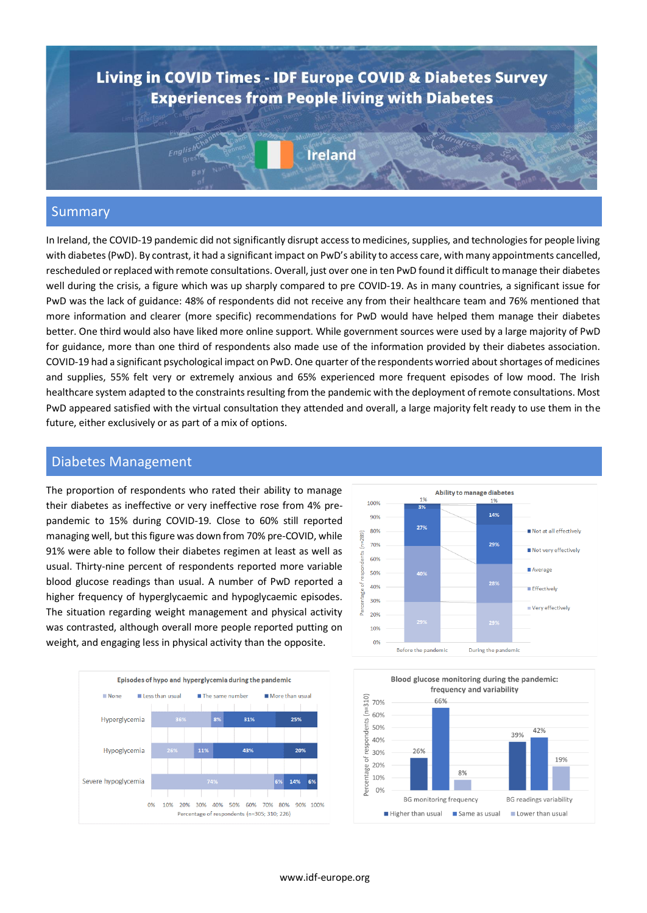

#### Summary

In Ireland, the COVID-19 pandemic did not significantly disrupt access to medicines, supplies, and technologies for people living with diabetes (PwD). By contrast, it had a significant impact on PwD's ability to access care, with many appointments cancelled, rescheduled or replaced with remote consultations. Overall, just over one in ten PwD found it difficult to manage their diabetes well during the crisis, a figure which was up sharply compared to pre COVID-19. As in many countries, a significant issue for PwD was the lack of guidance: 48% of respondents did not receive any from their healthcare team and 76% mentioned that more information and clearer (more specific) recommendations for PwD would have helped them manage their diabetes better. One third would also have liked more online support. While government sources were used by a large majority of PwD for guidance, more than one third of respondents also made use of the information provided by their diabetes association. COVID-19 had a significant psychological impact on PwD. One quarter of the respondents worried about shortages of medicines and supplies, 55% felt very or extremely anxious and 65% experienced more frequent episodes of low mood. The Irish healthcare system adapted to the constraints resulting from the pandemic with the deployment of remote consultations. Most PwD appeared satisfied with the virtual consultation they attended and overall, a large majority felt ready to use them in the future, either exclusively or as part of a mix of options.

#### Diabetes Management

The proportion of respondents who rated their ability to manage their diabetes as ineffective or very ineffective rose from 4% prepandemic to 15% during COVID-19. Close to 60% still reported managing well, but this figure was down from 70% pre-COVID, while 91% were able to follow their diabetes regimen at least as well as usual. Thirty-nine percent of respondents reported more variable blood glucose readings than usual. A number of PwD reported a higher frequency of hyperglycaemic and hypoglycaemic episodes. The situation regarding weight management and physical activity was contrasted, although overall more people reported putting on weight, and engaging less in physical activity than the opposite.





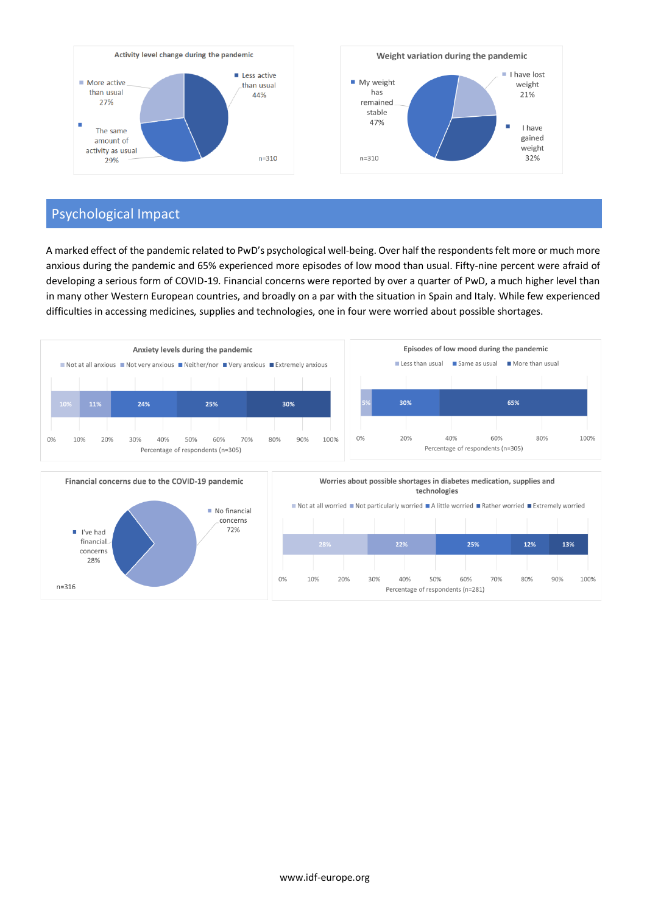

# Psychological Impact

financial

concerns 28%

 $n = 316$ 

A marked effect of the pandemic related to PwD's psychological well-being. Over half the respondents felt more or much more anxious during the pandemic and 65% experienced more episodes of low mood than usual. Fifty-nine percent were afraid of developing a serious form of COVID-19. Financial concerns were reported by over a quarter of PwD, a much higher level than in many other Western European countries, and broadly on a par with the situation in Spain and Italy. While few experienced difficulties in accessing medicines, supplies and technologies, one in four were worried about possible shortages.



 $0\%$ 

10%

20%

30%

 $22%$ 

40%

50%

Percentage of respondents (n=281)

 $25%$ 

70%

60%

 $12%$ 

80%

 $13%$ 

100%

90%

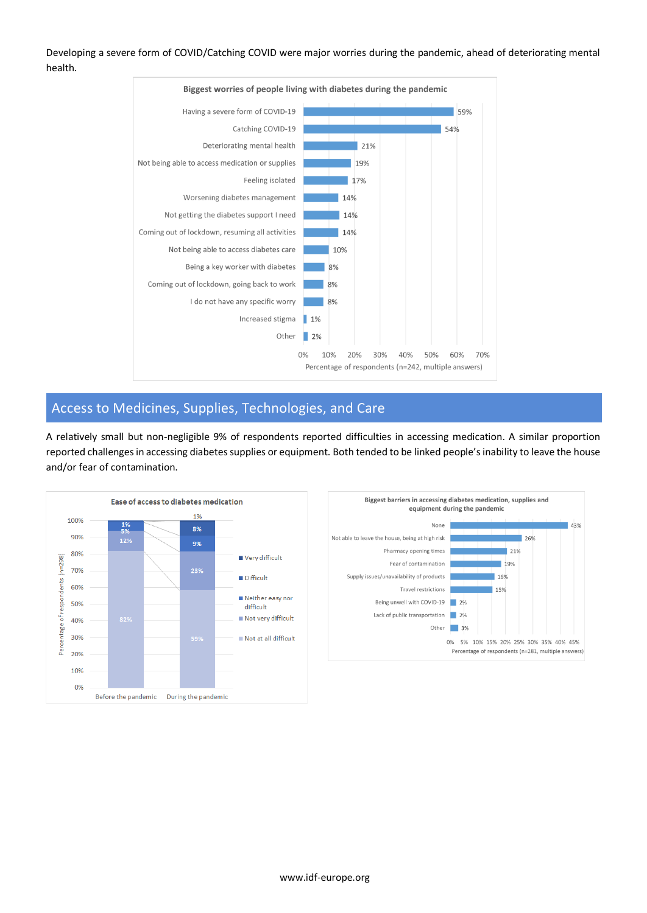Developing a severe form of COVID/Catching COVID were major worries during the pandemic, ahead of deteriorating mental health.



# Access to Medicines, Supplies, Technologies, and Care

A relatively small but non-negligible 9% of respondents reported difficulties in accessing medication. A similar proportion reported challenges in accessing diabetes supplies or equipment. Both tended to be linked people's inability to leave the house and/or fear of contamination.

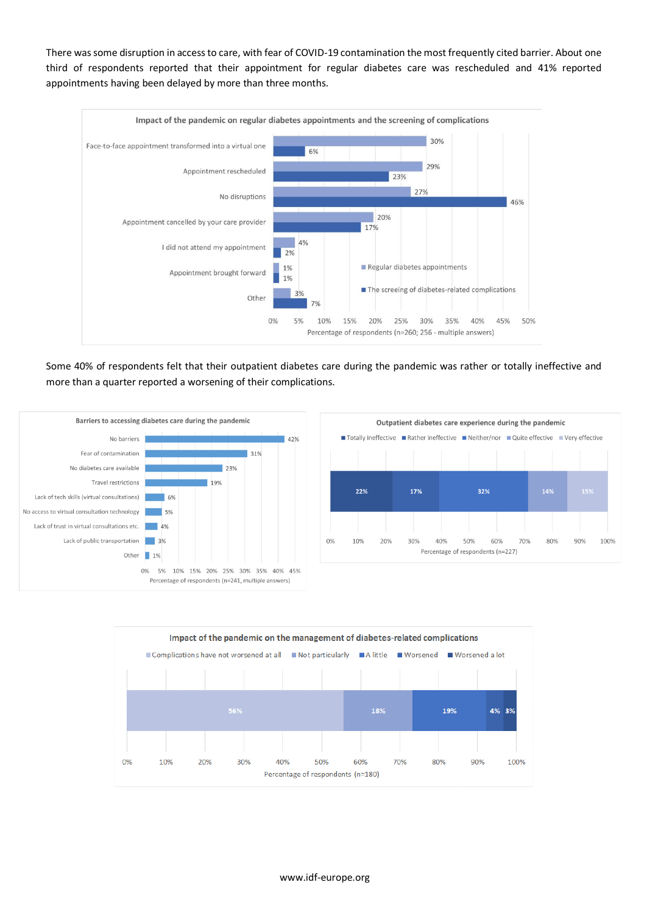There was some disruption in access to care, with fear of COVID-19 contamination the most frequently cited barrier. About one third of respondents reported that their appointment for regular diabetes care was rescheduled and 41% reported appointments having been delayed by more than three months.



Some 40% of respondents felt that their outpatient diabetes care during the pandemic was rather or totally ineffective and more than a quarter reported a worsening of their complications.





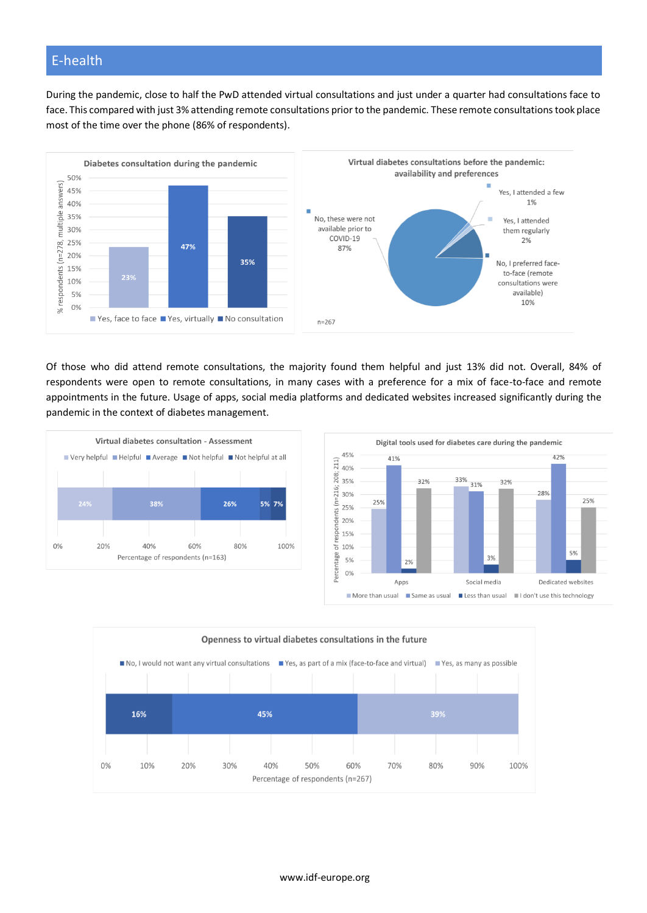#### E-health

During the pandemic, close to half the PwD attended virtual consultations and just under a quarter had consultations face to face. This compared with just 3% attending remote consultations prior to the pandemic. These remote consultations took place most of the time over the phone (86% of respondents).



Of those who did attend remote consultations, the majority found them helpful and just 13% did not. Overall, 84% of respondents were open to remote consultations, in many cases with a preference for a mix of face-to-face and remote appointments in the future. Usage of apps, social media platforms and dedicated websites increased significantly during the pandemic in the context of diabetes management.